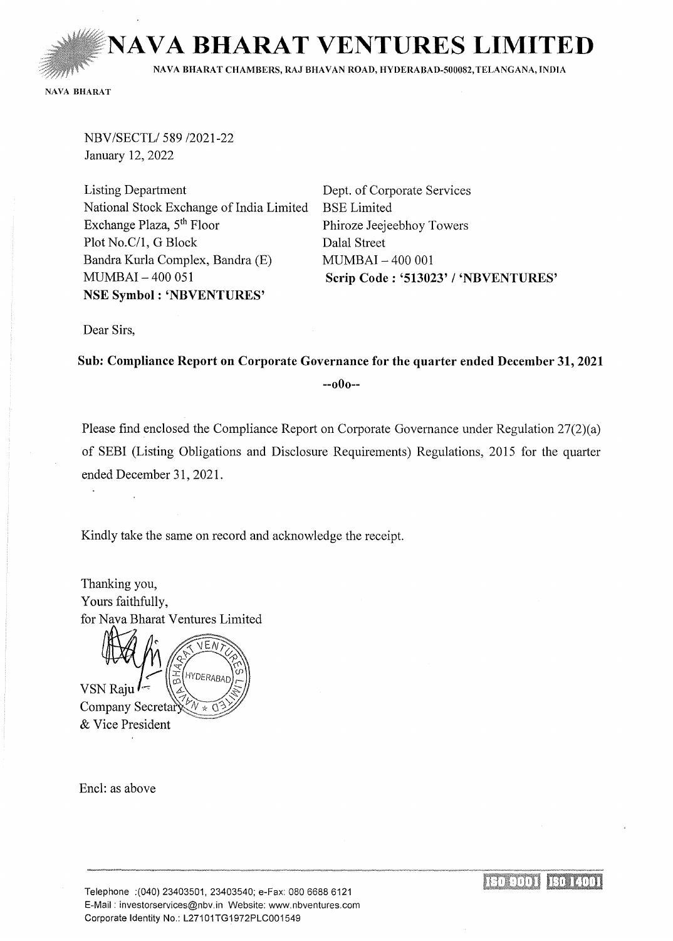**NAVA BHARAT VENTURES LIM** 

NAVA BHARAT CHAMBERS, RAJ BHAVAN ROAD, HYDERABAD-500082, TELANGANA, INDIA

NAVA BHARAT

NBV/SECTL/589 /2021-22 January 12, 2022

Listing Department National Stock Exchange of India Limited Exchange Plaza, 5th Floor Plot No.C/1, G Block Bandra Kurla Complex, Bandra (E) MUMBAI- 400 051 NSE Symbol : 'NBVENTURES'

Dept. of Corporate Services BSE Limited Phiroze Jeejeebhoy Towers Dalal Street MUMBAI- 400 001 Scrip Code: '513023' I 'NBVENTURES'

Dear Sirs,

Sub: Compliance Report on Corporate Governance for the quarter ended December 31, 2021 --oOo--

Please find enclosed the Compliance Report on Corporate Governance under Regulation 27(2)(a) of SEBI (Listing Obligations and Disclosure Requirements) Regulations, 2015 for the quarter ended December 31, 2021.

Kindly take the same on record and acknowledge the receipt.

Thanking you, Yours faithfully, for Nava Bharat Ventures Limited

HYDERABAL H<br>B **VSN Raju** Company Secretary  $\mathcal{A}_\mathcal{P}$ & Vice President

Encl: as above

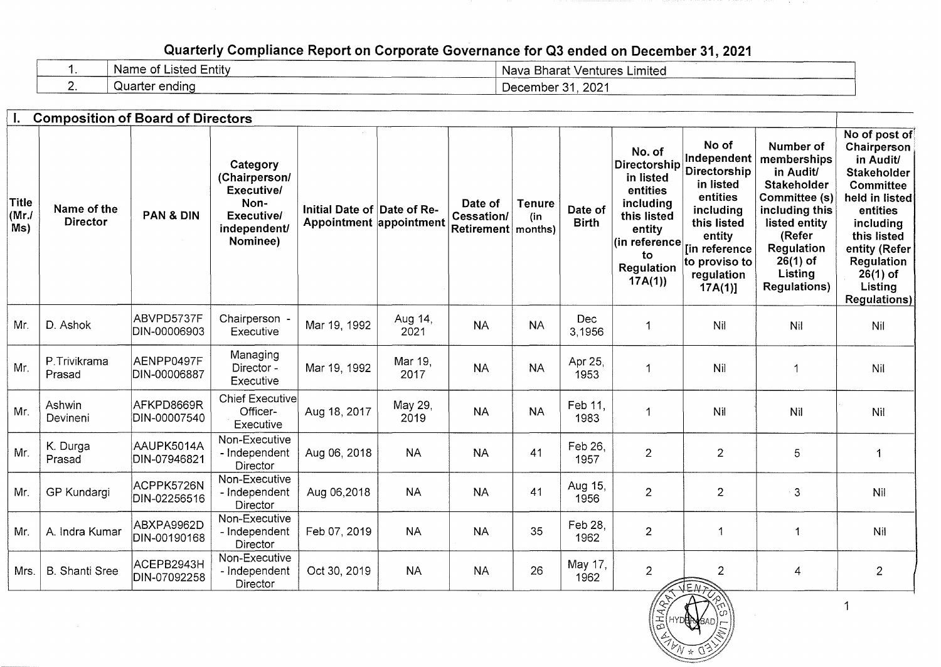## Quarterly Compliance Report on Corporate Governance for Q3 ended on December 31, 2021

|    | Name of Listed Entity | Nava Bharat Ventures Limited |
|----|-----------------------|------------------------------|
| -- | Quarter ending        | 2021<br>December             |

|                      | <b>Composition of Board of Directors</b> |                            |                                                                                                  |                                                        |                 |                                               |                      |                         |                                                                                                                                             |                                                                                                                                                                          |                                                                                                                                                                                         |                                                                                                                                                                                                                              |
|----------------------|------------------------------------------|----------------------------|--------------------------------------------------------------------------------------------------|--------------------------------------------------------|-----------------|-----------------------------------------------|----------------------|-------------------------|---------------------------------------------------------------------------------------------------------------------------------------------|--------------------------------------------------------------------------------------------------------------------------------------------------------------------------|-----------------------------------------------------------------------------------------------------------------------------------------------------------------------------------------|------------------------------------------------------------------------------------------------------------------------------------------------------------------------------------------------------------------------------|
| Title<br>(Mr)<br>Ms) | Name of the<br><b>Director</b>           | <b>PAN &amp; DIN</b>       | Category<br>(Chairperson/<br>Executive/<br>Non-<br><b>Executivel</b><br>independent/<br>Nominee) | Initial Date of Date of Re-<br>Appointment appointment |                 | Date of<br>Cessation/<br>Retirement   months) | <b>Tenure</b><br>(in | Date of<br><b>Birth</b> | No. of<br>Directorship<br>in listed<br>entities<br>including<br>this listed<br>entity<br>(in reference<br>to<br><b>Regulation</b><br>17A(1) | No of<br>Independent<br>Directorship<br>in listed<br>entities<br>including<br>this listed<br>entity<br><b>[in reference</b><br>to proviso to<br>regulation<br>$17A(1)$ ] | Number of<br>memberships<br>in Audit/<br><b>Stakeholder</b><br>Committee (s)<br>including this<br>listed entity<br>(Refer<br>Regulation<br>$26(1)$ of<br>Listing<br><b>Regulations)</b> | No of post of<br>Chairperson<br>in Audit/<br><b>Stakeholder</b><br><b>Committee</b><br>held in listed<br>entities<br>including<br>this listed<br>entity (Refer<br>Regulation<br>$26(1)$ of<br>Listing<br><b>Regulations)</b> |
| Mr.                  | D. Ashok                                 | ABVPD5737F<br>DIN-00006903 | Chairperson<br>Executive                                                                         | Mar 19, 1992                                           | Aug 14,<br>2021 | <b>NA</b>                                     | <b>NA</b>            | Dec<br>3,1956           | 1                                                                                                                                           | Nil                                                                                                                                                                      | Nil                                                                                                                                                                                     | Nil                                                                                                                                                                                                                          |
| Mr.                  | P.Trivikrama<br>Prasad                   | AENPP0497F<br>DIN-00006887 | Managing<br>Director -<br>Executive                                                              | Mar 19, 1992                                           | Mar 19,<br>2017 | <b>NA</b>                                     | <b>NA</b>            | Apr 25,<br>1953         | 1                                                                                                                                           | Nil                                                                                                                                                                      | 1                                                                                                                                                                                       | Nil                                                                                                                                                                                                                          |
| Mr.                  | Ashwin<br>Devineni                       | AFKPD8669R<br>DIN-00007540 | <b>Chief Executive</b><br>Officer-<br>Executive                                                  | Aug 18, 2017                                           | May 29,<br>2019 | <b>NA</b>                                     | <b>NA</b>            | Feb 11.<br>1983         | 1                                                                                                                                           | Nil                                                                                                                                                                      | Nil                                                                                                                                                                                     | Nil                                                                                                                                                                                                                          |
| Mr.                  | K. Durga<br>Prasad                       | AAUPK5014A<br>DIN-07946821 | Non-Executive<br>- Independent<br>Director                                                       | Aug 06, 2018                                           | <b>NA</b>       | <b>NA</b>                                     | 41                   | Feb 26,<br>1957         | $\overline{c}$                                                                                                                              | $\overline{2}$                                                                                                                                                           | $\overline{5}$                                                                                                                                                                          | 1                                                                                                                                                                                                                            |
| Mr.                  | GP Kundargi                              | ACPPK5726N<br>DIN-02256516 | Non-Executive<br>- Independent<br>Director                                                       | Aug 06,2018                                            | <b>NA</b>       | <b>NA</b>                                     | 41                   | Aug 15,<br>1956         | $\overline{2}$                                                                                                                              | $\overline{2}$                                                                                                                                                           | $\mathbf{3}$                                                                                                                                                                            | Nil                                                                                                                                                                                                                          |
| Mr.                  | A. Indra Kumar                           | ABXPA9962D<br>DIN-00190168 | Non-Executive<br>- Independent<br>Director                                                       | Feb 07, 2019                                           | <b>NA</b>       | <b>NA</b>                                     | 35                   | Feb 28,<br>1962         | $\overline{2}$                                                                                                                              | -1                                                                                                                                                                       | $\blacktriangleleft$                                                                                                                                                                    | Nil                                                                                                                                                                                                                          |
| Mrs.                 | <b>B.</b> Shanti Sree                    | ACEPB2943H<br>DIN-07092258 | Non-Executive<br>- Independent<br>Director                                                       | Oct 30, 2019                                           | <b>NA</b>       | <b>NA</b>                                     | 26                   | May 17,<br>1962         | $\overline{2}$                                                                                                                              | $\overline{2}$<br>JENE                                                                                                                                                   | $\overline{4}$                                                                                                                                                                          | $\overline{2}$                                                                                                                                                                                                               |



 $\mathbf{1}$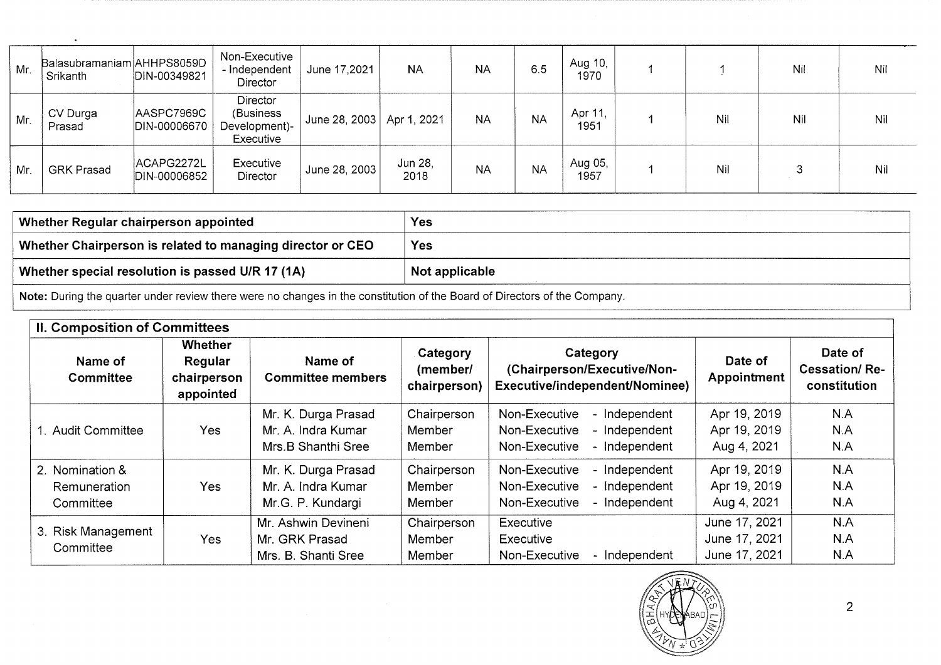| Mr. | Balasubramaniam AHHPS8059D<br>Srikanth | DIN-00349821               | Non-Executive<br>- Independent<br>Director                  | June 17,2021                | <b>NA</b>       | <b>NA</b> | 6.5       | Aug 10,<br>1970 |     | Nil | Nil |
|-----|----------------------------------------|----------------------------|-------------------------------------------------------------|-----------------------------|-----------------|-----------|-----------|-----------------|-----|-----|-----|
| Mr. | CV Durga<br>Prasad                     | AASPC7969C<br>DIN-00006670 | <b>Director</b><br>(Business)<br>Development)-<br>Executive | June 28, 2003   Apr 1, 2021 |                 | <b>NA</b> | <b>NA</b> | Apr 11,<br>1951 | Nil | Nil | Nil |
| Mr. | <b>GRK Prasad</b>                      | ACAPG2272L<br>DIN-00006852 | Executive<br>Director                                       | June 28, 2003               | Jun 28,<br>2018 | <b>NA</b> | <b>NA</b> | Aug 05,<br>1957 | Nil |     | Nil |

| $^{\prime}$ Whether Regular chairperson appointed $^{\prime}$ | Yes            |  |  |  |
|---------------------------------------------------------------|----------------|--|--|--|
| Whether Chairperson is related to managing director or CEO    | <b>Yes</b>     |  |  |  |
| Whether special resolution is passed U/R 17 (1A)              | Not applicable |  |  |  |
|                                                               |                |  |  |  |

**Note:** During the quarter under review there were no changes in the constitution of the Board of Directors of the Company.

 $\ddot{\phantom{a}}$ 

| <b>II. Composition of Committees</b>                |                                                |                                                                 |                                      |                                                                                                    |                                                 |                                                 |  |
|-----------------------------------------------------|------------------------------------------------|-----------------------------------------------------------------|--------------------------------------|----------------------------------------------------------------------------------------------------|-------------------------------------------------|-------------------------------------------------|--|
| Name of<br>Committee                                | Whether<br>Regular<br>chairperson<br>appointed | Name of<br><b>Committee members</b>                             | Category<br>(member/<br>chairperson) | Category<br>(Chairperson/Executive/Non-<br>Executive/independent/Nominee)                          | Date of<br>Appointment                          | Date of<br><b>Cessation/Re-</b><br>constitution |  |
| <b>Audit Committee</b>                              | Yes                                            | Mr. K. Durga Prasad<br>Mr. A. Indra Kumar<br>Mrs.B Shanthi Sree | Chairperson<br>Member<br>Member      | Non-Executive<br>- Independent<br>Non-Executive<br>- Independent<br>- Independent<br>Non-Executive | Apr 19, 2019<br>Apr 19, 2019<br>Aug 4, 2021     | N.A<br>N.A<br>N.A                               |  |
| 2. Nomination &<br><b>Remuneration</b><br>Committee | <b>Yes</b>                                     | Mr. K. Durga Prasad<br>Mr. A. Indra Kumar<br>Mr.G. P. Kundargi  | Chairperson<br>Member<br>Member      | Non-Executive<br>- Independent<br>Non-Executive<br>- Independent<br>- Independent<br>Non-Executive | Apr 19, 2019<br>Apr 19, 2019<br>Aug 4, 2021     | N.A<br>N.A<br>N.A                               |  |
| 3. Risk Management<br>Committee                     | Yes                                            | Mr. Ashwin Devineni<br>Mr. GRK Prasad<br>Mrs. B. Shanti Sree    | Chairperson<br>Member<br>Member      | Executive<br>Executive<br>- Independent<br>Non-Executive                                           | June 17, 2021<br>June 17, 2021<br>June 17, 2021 | N.A<br>N.A<br>N.A                               |  |

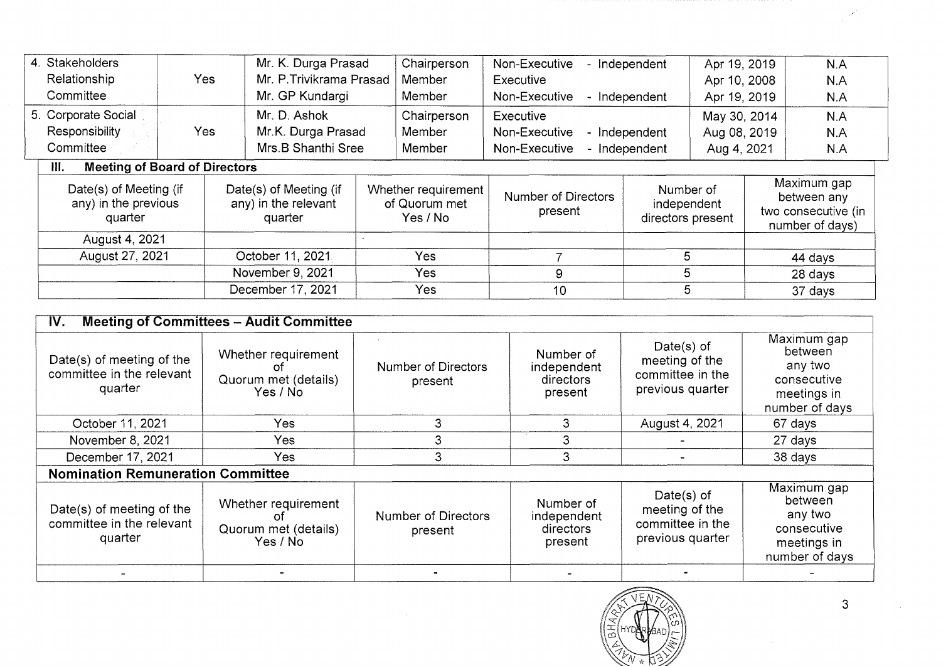|                  | 4. Stakeholders                                           |            | Mr. K. Durga Prasad                                       |        | Chairperson                                      | Non-Executive                         | - Independent                                 | Apr 19, 2019 |             | N.A                                                                  |
|------------------|-----------------------------------------------------------|------------|-----------------------------------------------------------|--------|--------------------------------------------------|---------------------------------------|-----------------------------------------------|--------------|-------------|----------------------------------------------------------------------|
|                  | Relationship                                              | <b>Yes</b> | Mr. P. Trivikrama Prasad                                  |        | Member                                           | Executive                             |                                               | Apr 10, 2008 |             | N.A                                                                  |
|                  | Committee                                                 |            | Mr. GP Kundargi                                           | Member |                                                  | Non-Executive                         | - Independent                                 | Apr 19, 2019 |             | N.A                                                                  |
|                  | 5. Corporate Social                                       |            | Mr. D. Ashok                                              |        | Chairperson                                      | Executive                             |                                               | May 30, 2014 |             | N.A                                                                  |
|                  | <b>Responsibility</b>                                     | Yes        | Mr.K. Durga Prasad                                        |        | Member                                           | Non-Executive                         | - Independent                                 | Aug 08, 2019 |             | N.A                                                                  |
|                  | Committee                                                 |            | Mrs.B Shanthi Sree                                        |        | Member                                           | Non-Executive                         | - Independent                                 |              | Aug 4, 2021 | N.A                                                                  |
|                  | <b>Meeting of Board of Directors</b><br>III.              |            |                                                           |        |                                                  |                                       |                                               |              |             |                                                                      |
|                  | Date(s) of Meeting (if<br>any) in the previous<br>quarter |            | Date(s) of Meeting (if<br>any) in the relevant<br>quarter |        | Whether requirement<br>of Quorum met<br>Yes / No | <b>Number of Directors</b><br>present | Number of<br>independent<br>directors present |              |             | Maximum gap<br>between any<br>two consecutive (in<br>number of days) |
|                  | August 4, 2021                                            |            |                                                           |        |                                                  |                                       |                                               |              |             |                                                                      |
| August 27, 2021  |                                                           |            | October 11, 2021.                                         |        | <b>Yes</b>                                       |                                       | 5                                             |              |             | 44 days                                                              |
| November 9, 2021 |                                                           | Yes        | 5<br>9                                                    |        |                                                  |                                       | 28 days                                       |              |             |                                                                      |
|                  |                                                           |            | December 17, 2021                                         |        | Yes                                              | 10                                    | 5                                             |              |             | 37 days                                                              |
|                  |                                                           |            |                                                           |        |                                                  |                                       |                                               |              |             |                                                                      |

| <b>Meeting of Committees - Audit Committee</b><br>IV.             |                                                         |                                       |                                                  |                                                                         |                                                                                   |  |
|-------------------------------------------------------------------|---------------------------------------------------------|---------------------------------------|--------------------------------------------------|-------------------------------------------------------------------------|-----------------------------------------------------------------------------------|--|
| Date(s) of meeting of the<br>committee in the relevant<br>quarter | Whether requirement<br>Quorum met (details)<br>Yes / No | <b>Number of Directors</b><br>present | Number of<br>independent<br>directors<br>present | Date $(s)$ of<br>meeting of the<br>committee in the<br>previous quarter | Maximum gap<br>between<br>any two<br>consecutive<br>meetings in<br>number of days |  |
| October 11, 2021                                                  | Yes.                                                    | 3                                     | 3                                                | August 4, 2021                                                          | 67 days                                                                           |  |
| November 8, 2021                                                  | Yes                                                     | 3.                                    |                                                  |                                                                         | 27 days                                                                           |  |
| December 17, 2021                                                 | Yes                                                     | 3                                     | 3                                                |                                                                         | 38 days                                                                           |  |
| <b>Nomination Remuneration Committee</b>                          |                                                         |                                       |                                                  |                                                                         |                                                                                   |  |
| Date(s) of meeting of the<br>committee in the relevant<br>quarter | Whether requirement<br>Quorum met (details)<br>Yes / No | <b>Number of Directors</b><br>present | Number of<br>independent<br>directors<br>present | Date $(s)$ of<br>meeting of the<br>committee in the<br>previous quarter | Maximum gap<br>between<br>any two<br>consecutive<br>meetings in<br>number of days |  |
|                                                                   |                                                         |                                       |                                                  |                                                                         |                                                                                   |  |